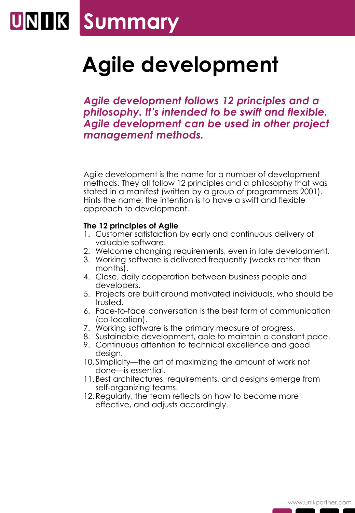## **Summary**

## **Agile development**

*Agile development follows 12 principles and a philosophy. It's intended to be swift and flexible. Agile development can be used in other project management methods.*

Agile development is the name for a number of development methods. They all follow 12 principles and a philosophy that was stated in a manifest (written by a group of programmers 2001). Hints the name, the intention is to have a swift and flexible approach to development.

#### **The 12 principles of Agile**

- 1. Customer satisfaction by early and continuous delivery of valuable software.
- 2. Welcome changing requirements, even in late development.
- 3. Working software is delivered frequently (weeks rather than months).
- 4. Close, daily cooperation between business people and developers.
- 5. Projects are built around motivated individuals, who should be trusted.
- 6. Face-to-face conversation is the best form of communication (co-location).
- 7. Working software is the primary measure of progress.
- 8. Sustainable development, able to maintain a constant pace.
- 9. Continuous attention to technical excellence and good design.
- 10.Simplicity—the art of maximizing the amount of work not done—is essential.
- 11.Best architectures, requirements, and designs emerge from self-organizing teams.
- 12.Regularly, the team reflects on how to become more effective, and adjusts accordingly.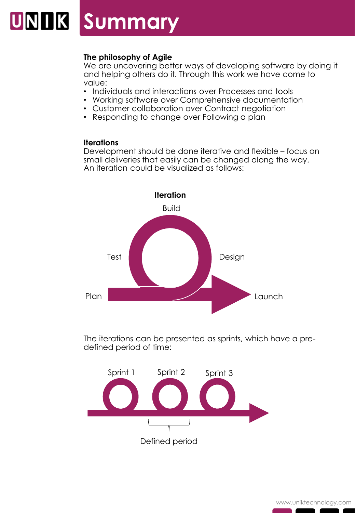### UNIK **Summary**

#### **The philosophy of Agile**

We are uncovering better ways of developing software by doing it and helping others do it. Through this work we have come to value:

- Individuals and interactions over Processes and tools
- Working software over Comprehensive documentation
- Customer collaboration over Contract negotiation
- Responding to change over Following a plan

#### **Iterations**

Development should be done iterative and flexible – focus on small deliveries that easily can be changed along the way. An iteration could be visualized as follows:



The iterations can be presented as sprints, which have a predefined period of time: